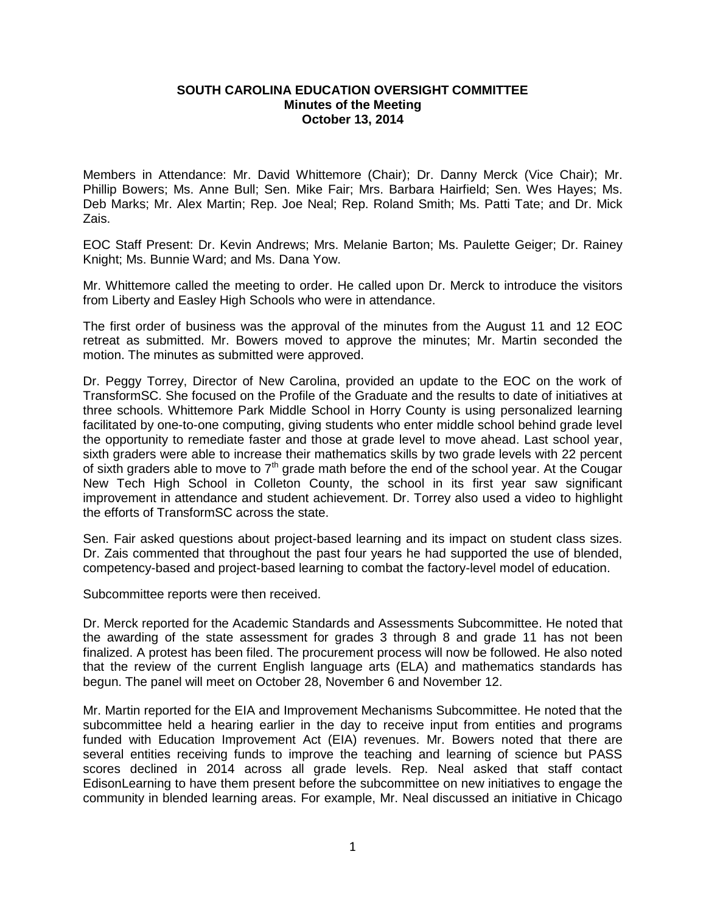## **SOUTH CAROLINA EDUCATION OVERSIGHT COMMITTEE Minutes of the Meeting October 13, 2014**

Members in Attendance: Mr. David Whittemore (Chair); Dr. Danny Merck (Vice Chair); Mr. Phillip Bowers; Ms. Anne Bull; Sen. Mike Fair; Mrs. Barbara Hairfield; Sen. Wes Hayes; Ms. Deb Marks; Mr. Alex Martin; Rep. Joe Neal; Rep. Roland Smith; Ms. Patti Tate; and Dr. Mick Zais.

EOC Staff Present: Dr. Kevin Andrews; Mrs. Melanie Barton; Ms. Paulette Geiger; Dr. Rainey Knight; Ms. Bunnie Ward; and Ms. Dana Yow.

Mr. Whittemore called the meeting to order. He called upon Dr. Merck to introduce the visitors from Liberty and Easley High Schools who were in attendance.

The first order of business was the approval of the minutes from the August 11 and 12 EOC retreat as submitted. Mr. Bowers moved to approve the minutes; Mr. Martin seconded the motion. The minutes as submitted were approved.

Dr. Peggy Torrey, Director of New Carolina, provided an update to the EOC on the work of TransformSC. She focused on the Profile of the Graduate and the results to date of initiatives at three schools. Whittemore Park Middle School in Horry County is using personalized learning facilitated by one-to-one computing, giving students who enter middle school behind grade level the opportunity to remediate faster and those at grade level to move ahead. Last school year, sixth graders were able to increase their mathematics skills by two grade levels with 22 percent of sixth graders able to move to  $7<sup>th</sup>$  grade math before the end of the school year. At the Cougar New Tech High School in Colleton County, the school in its first year saw significant improvement in attendance and student achievement. Dr. Torrey also used a video to highlight the efforts of TransformSC across the state.

Sen. Fair asked questions about project-based learning and its impact on student class sizes. Dr. Zais commented that throughout the past four years he had supported the use of blended, competency-based and project-based learning to combat the factory-level model of education.

Subcommittee reports were then received.

Dr. Merck reported for the Academic Standards and Assessments Subcommittee. He noted that the awarding of the state assessment for grades 3 through 8 and grade 11 has not been finalized. A protest has been filed. The procurement process will now be followed. He also noted that the review of the current English language arts (ELA) and mathematics standards has begun. The panel will meet on October 28, November 6 and November 12.

Mr. Martin reported for the EIA and Improvement Mechanisms Subcommittee. He noted that the subcommittee held a hearing earlier in the day to receive input from entities and programs funded with Education Improvement Act (EIA) revenues. Mr. Bowers noted that there are several entities receiving funds to improve the teaching and learning of science but PASS scores declined in 2014 across all grade levels. Rep. Neal asked that staff contact EdisonLearning to have them present before the subcommittee on new initiatives to engage the community in blended learning areas. For example, Mr. Neal discussed an initiative in Chicago